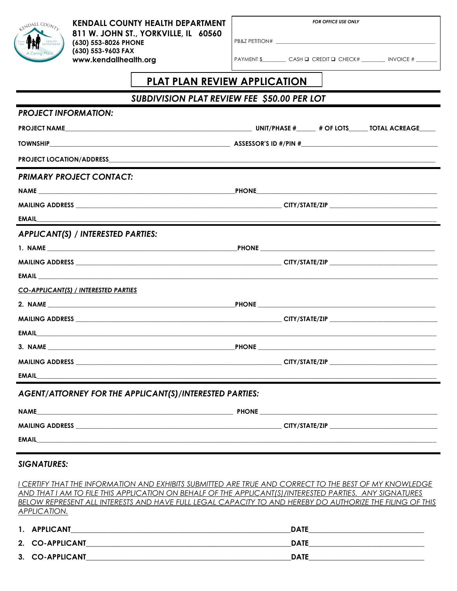| <b>LENDALL COUNTL</b><br>HEALTH<br>DEPARTMENT                                                     | <b>KENDALL COUNTY HEALTH DEPARTMENT</b><br>811 W. JOHN ST., YORKVILLE, IL 60560<br>(630) 553-8026 PHONE            | <b>FOR OFFICE USE ONLY</b>                                                                                               |  |  |  |
|---------------------------------------------------------------------------------------------------|--------------------------------------------------------------------------------------------------------------------|--------------------------------------------------------------------------------------------------------------------------|--|--|--|
|                                                                                                   | (630) 553-9603 FAX<br>www.kendallhealth.org                                                                        | PAYMENT \$ CASH Q CREDIT Q CHECK# NVOICE # ______                                                                        |  |  |  |
|                                                                                                   | <b>PLAT PLAN REVIEW APPLICATION</b>                                                                                |                                                                                                                          |  |  |  |
| SUBDIVISION PLAT REVIEW FEE \$50.00 PER LOT                                                       |                                                                                                                    |                                                                                                                          |  |  |  |
| <b>PROJECT INFORMATION:</b>                                                                       |                                                                                                                    |                                                                                                                          |  |  |  |
|                                                                                                   |                                                                                                                    |                                                                                                                          |  |  |  |
|                                                                                                   |                                                                                                                    |                                                                                                                          |  |  |  |
|                                                                                                   |                                                                                                                    |                                                                                                                          |  |  |  |
| <b>PRIMARY PROJECT CONTACT:</b>                                                                   |                                                                                                                    |                                                                                                                          |  |  |  |
|                                                                                                   |                                                                                                                    |                                                                                                                          |  |  |  |
|                                                                                                   |                                                                                                                    |                                                                                                                          |  |  |  |
|                                                                                                   |                                                                                                                    | EMAIL<br>The contract of the contract of the contract of the contract of the contract of the contract of the contract of |  |  |  |
| APPLICANT(S) / INTERESTED PARTIES:                                                                |                                                                                                                    |                                                                                                                          |  |  |  |
|                                                                                                   |                                                                                                                    |                                                                                                                          |  |  |  |
|                                                                                                   |                                                                                                                    |                                                                                                                          |  |  |  |
|                                                                                                   |                                                                                                                    |                                                                                                                          |  |  |  |
| CO-APPLICANT(S) / INTERESTED PARTIES                                                              |                                                                                                                    |                                                                                                                          |  |  |  |
|                                                                                                   |                                                                                                                    |                                                                                                                          |  |  |  |
|                                                                                                   |                                                                                                                    |                                                                                                                          |  |  |  |
| <b>EMAIL Example 2008 Example 2008 EXAMPLE 2009 <b>EXAMPLE 2009 EXAMPLE 2009 EXAMPLE 2009</b></b> |                                                                                                                    |                                                                                                                          |  |  |  |
|                                                                                                   |                                                                                                                    |                                                                                                                          |  |  |  |
|                                                                                                   |                                                                                                                    |                                                                                                                          |  |  |  |
| <b>EMAIL</b>                                                                                      | <u> 1989 - Jan James James James James James James James James James James James James James James James James</u> |                                                                                                                          |  |  |  |
| AGENT/ATTORNEY FOR THE APPLICANT(S)/INTERESTED PARTIES:                                           |                                                                                                                    |                                                                                                                          |  |  |  |
| <b>NAME</b>                                                                                       |                                                                                                                    |                                                                                                                          |  |  |  |
|                                                                                                   |                                                                                                                    |                                                                                                                          |  |  |  |
| <b>EMAIL EMAIL EMAIL</b>                                                                          |                                                                                                                    |                                                                                                                          |  |  |  |
|                                                                                                   |                                                                                                                    |                                                                                                                          |  |  |  |

## **SIGNATURES:**

I CERTIFY THAT THE INFORMATION AND EXHIBITS SUBMITTED ARE TRUE AND CORRECT TO THE BEST OF MY KNOWLEDGE AND THAT I AM TO FILE THIS APPLICATION ON BEHALF OF THE APPLICANT(S)/INTERESTED PARTIES. ANY SIGNATURES BELOW REPRESENT ALL INTERESTS AND HAVE FULL LEGAL CAPACITY TO AND HEREBY DO AUTHORIZE THE FILING OF THIS **APPLICATION.** 

| 1. APPLICANT    | <b>DATE</b> |
|-----------------|-------------|
| 2. CO-APPLICANT | <b>DATE</b> |
| 3. CO-APPLICANT | <b>DATE</b> |